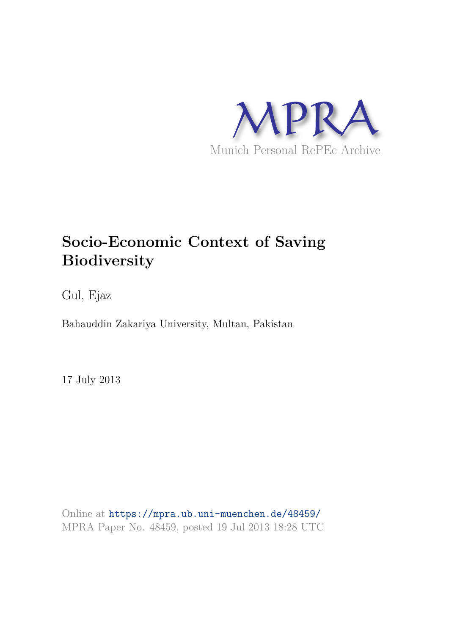

# **Socio-Economic Context of Saving Biodiversity**

Gul, Ejaz

Bahauddin Zakariya University, Multan, Pakistan

17 July 2013

Online at https://mpra.ub.uni-muenchen.de/48459/ MPRA Paper No. 48459, posted 19 Jul 2013 18:28 UTC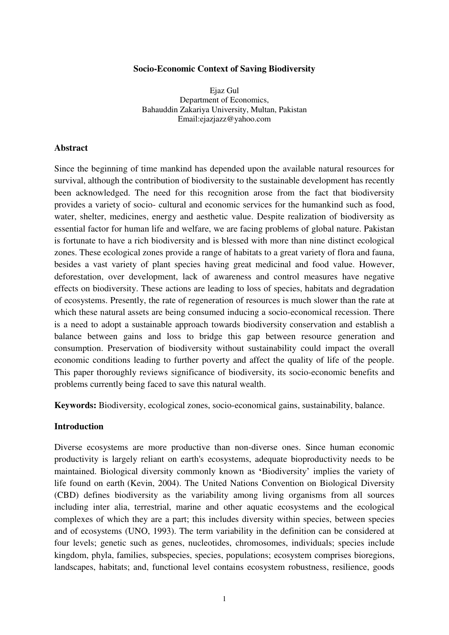#### **Socio-Economic Context of Saving Biodiversity**

Ejaz Gul Department of Economics, Bahauddin Zakariya University, Multan, Pakistan Email:ejazjazz@yahoo.com

#### **Abstract**

Since the beginning of time mankind has depended upon the available natural resources for survival, although the contribution of biodiversity to the sustainable development has recently been acknowledged. The need for this recognition arose from the fact that biodiversity provides a variety of socio- cultural and economic services for the humankind such as food, water, shelter, medicines, energy and aesthetic value. Despite realization of biodiversity as essential factor for human life and welfare, we are facing problems of global nature. Pakistan is fortunate to have a rich biodiversity and is blessed with more than nine distinct ecological zones. These ecological zones provide a range of habitats to a great variety of flora and fauna, besides a vast variety of plant species having great medicinal and food value. However, deforestation, over development, lack of awareness and control measures have negative effects on biodiversity. These actions are leading to loss of species, habitats and degradation of ecosystems. Presently, the rate of regeneration of resources is much slower than the rate at which these natural assets are being consumed inducing a socio-economical recession. There is a need to adopt a sustainable approach towards biodiversity conservation and establish a balance between gains and loss to bridge this gap between resource generation and consumption. Preservation of biodiversity without sustainability could impact the overall economic conditions leading to further poverty and affect the quality of life of the people. This paper thoroughly reviews significance of biodiversity, its socio-economic benefits and problems currently being faced to save this natural wealth.

**Keywords:** Biodiversity, ecological zones, socio-economical gains, sustainability, balance.

### **Introduction**

Diverse [ecosystems](http://en.wikipedia.org/wiki/Ecosystem) are more productive than non-diverse ones. Since human economic productivity is largely reliant on earth's ecosystems, adequate bioproductivity needs to be maintained. Biological diversity commonly known as **'**Biodiversity' implies the variety of life found on earth (Kevin, 2004). The United Nations Convention on Biological Diversity (CBD) defines biodiversity as the variability among living organisms from all sources including inter alia, terrestrial, marine and other aquatic ecosystems and the ecological complexes of which they are a part; this includes diversity within species, between species and of ecosystems (UNO, 1993). The term variability in the definition can be considered at four levels; genetic such as genes, nucleotides, chromosomes, individuals; species include kingdom, phyla, families, subspecies, species, populations; ecosystem comprises bioregions, landscapes, habitats; and, functional level contains ecosystem robustness, resilience, goods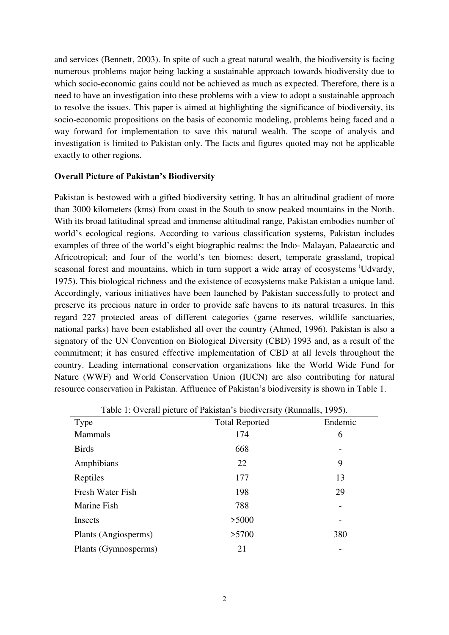and services (Bennett, 2003). In spite of such a great natural wealth, the biodiversity is facing numerous problems major being lacking a sustainable approach towards biodiversity due to which socio-economic gains could not be achieved as much as expected. Therefore, there is a need to have an investigation into these problems with a view to adopt a sustainable approach to resolve the issues. This paper is aimed at highlighting the significance of biodiversity, its socio-economic propositions on the basis of economic modeling, problems being faced and a way forward for implementation to save this natural wealth. The scope of analysis and investigation is limited to Pakistan only. The facts and figures quoted may not be applicable exactly to other regions.

## **Overall Picture of Pakistan's Biodiversity**

Pakistan is bestowed with a gifted biodiversity setting. It has an altitudinal gradient of more than 3000 kilometers (kms) from coast in the South to snow peaked mountains in the North. With its broad latitudinal spread and immense altitudinal range, Pakistan embodies number of world's ecological regions. According to various classification systems, Pakistan includes examples of three of the world's eight biographic realms: the Indo- Malayan, Palaearctic and Africotropical; and four of the world's ten biomes: desert, temperate grassland, tropical seasonal forest and mountains, which in turn support a wide array of ecosystems (Udvardy, 1975). This biological richness and the existence of ecosystems make Pakistan a unique land. Accordingly, various initiatives have been launched by Pakistan successfully to protect and preserve its precious nature in order to provide safe havens to its natural treasures. In this regard 227 protected areas of different categories (game reserves, wildlife sanctuaries, national parks) have been established all over the country (Ahmed, 1996). Pakistan is also a signatory of the UN Convention on Biological Diversity (CBD) 1993 and, as a result of the commitment; it has ensured effective implementation of CBD at all levels throughout the country. Leading international conservation organizations like the World Wide Fund for Nature (WWF) and World Conservation Union (IUCN) are also contributing for natural resource conservation in Pakistan. Affluence of Pakistan's biodiversity is shown in Table 1.

| Type                 | <b>Total Reported</b> | Endemic |
|----------------------|-----------------------|---------|
| <b>Mammals</b>       | 174                   | 6       |
| <b>Birds</b>         | 668                   |         |
| Amphibians           | 22                    | 9       |
| Reptiles             | 177                   | 13      |
| Fresh Water Fish     | 198                   | 29      |
| Marine Fish          | 788                   |         |
| Insects              | >5000                 |         |
| Plants (Angiosperms) | >5700                 | 380     |
| Plants (Gymnosperms) | 21                    |         |

Table 1: Overall picture of Pakistan's biodiversity (Runnalls, 1995).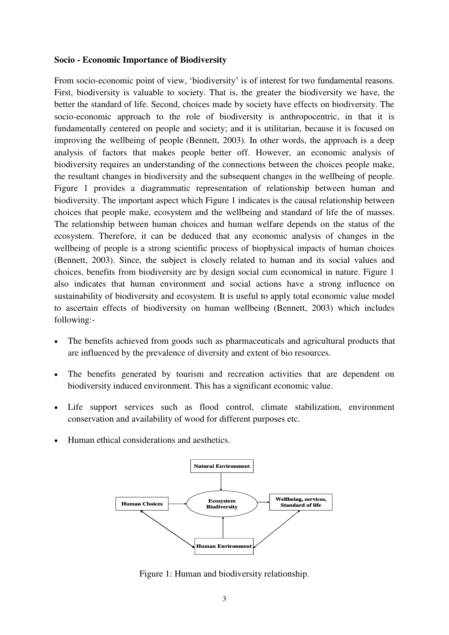#### **Socio - Economic Importance of Biodiversity**

From socio-economic point of view, 'biodiversity' is of interest for two fundamental reasons. First, biodiversity is valuable to society. That is, the greater the biodiversity we have, the better the standard of life. Second, choices made by society have effects on biodiversity. The socio-economic approach to the role of biodiversity is anthropocentric, in that it is fundamentally centered on people and society; and it is utilitarian, because it is focused on improving the wellbeing of people (Bennett, 2003). In other words, the approach is a deep analysis of factors that makes people better off. However, an economic analysis of biodiversity requires an understanding of the connections between the choices people make, the resultant changes in biodiversity and the subsequent changes in the wellbeing of people. Figure 1 provides a diagrammatic representation of relationship between human and biodiversity. The important aspect which Figure 1 indicates is the causal relationship between choices that people make, ecosystem and the wellbeing and standard of life the of masses. The relationship between human choices and human welfare depends on the status of the ecosystem. Therefore, it can be deduced that any economic analysis of changes in the wellbeing of people is a strong scientific process of biophysical impacts of human choices (Bennett, 2003). Since, the subject is closely related to human and its social values and choices, benefits from biodiversity are by design social cum economical in nature. Figure 1 also indicates that human environment and social actions have a strong influence on sustainability of biodiversity and ecosystem. It is useful to apply total economic value model to ascertain effects of biodiversity on human wellbeing (Bennett, 2003) which includes following:-

- The benefits achieved from goods such as pharmaceuticals and agricultural products that are influenced by the prevalence of diversity and extent of bio resources.
- The benefits generated by tourism and recreation activities that are dependent on biodiversity induced environment. This has a significant economic value.
- Life support services such as flood control, climate stabilization, environment conservation and availability of wood for different purposes etc.
- Human ethical considerations and aesthetics.



Figure 1: Human and biodiversity relationship.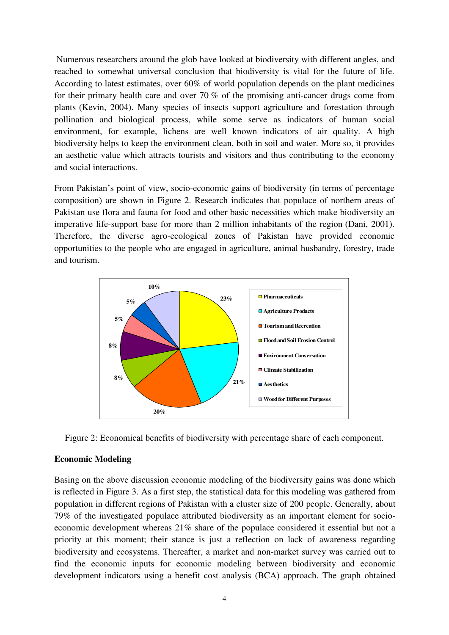Numerous researchers around the glob have looked at biodiversity with different angles, and reached to somewhat universal conclusion that biodiversity is vital for the future of life. According to latest estimates, over 60% of world population depends on the plant medicines for their primary health care and over 70 % of the promising anti-cancer drugs come from plants (Kevin, 2004). Many species of insects support agriculture and forestation through pollination and biological process, while some serve as indicators of human social environment, for example, lichens are well known indicators of air quality. A high biodiversity helps to keep the environment clean, both in soil and water. More so, it provides an aesthetic value which attracts tourists and visitors and thus contributing to the economy and social interactions.

From Pakistan's point of view, socio-economic gains of biodiversity (in terms of percentage composition) are shown in Figure 2. Research indicates that populace of northern areas of Pakistan use flora and fauna for food and other basic necessities which make biodiversity an imperative life-support base for more than 2 million inhabitants of the region (Dani, 2001). Therefore, the diverse agro-ecological zones of Pakistan have provided economic opportunities to the people who are engaged in agriculture, animal husbandry, forestry, trade and tourism.





## **Economic Modeling**

Basing on the above discussion economic modeling of the biodiversity gains was done which is reflected in Figure 3. As a first step, the statistical data for this modeling was gathered from population in different regions of Pakistan with a cluster size of 200 people. Generally, about 79% of the investigated populace attributed biodiversity as an important element for socioeconomic development whereas 21% share of the populace considered it essential but not a priority at this moment; their stance is just a reflection on lack of awareness regarding biodiversity and ecosystems. Thereafter, a market and non-market survey was carried out to find the economic inputs for economic modeling between biodiversity and economic development indicators using a benefit cost analysis (BCA) approach. The graph obtained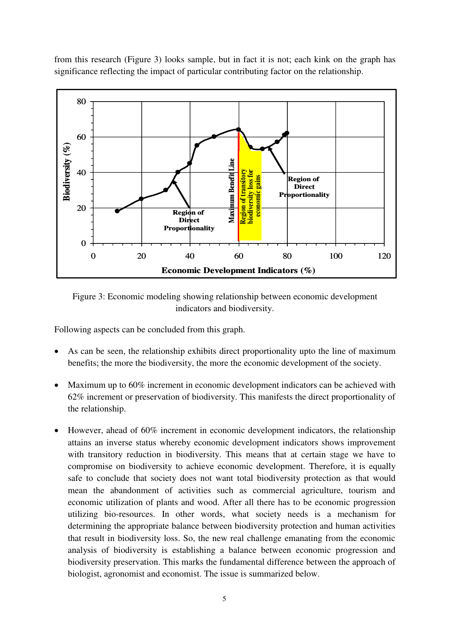from this research (Figure 3) looks sample, but in fact it is not; each kink on the graph has significance reflecting the impact of particular contributing factor on the relationship.



Figure 3: Economic modeling showing relationship between economic development indicators and biodiversity.

Following aspects can be concluded from this graph.

- As can be seen, the relationship exhibits direct proportionality upto the line of maximum benefits; the more the biodiversity, the more the economic development of the society.
- Maximum up to 60% increment in economic development indicators can be achieved with 62% increment or preservation of biodiversity. This manifests the direct proportionality of the relationship.
- However, ahead of 60% increment in economic development indicators, the relationship attains an inverse status whereby economic development indicators shows improvement with transitory reduction in biodiversity. This means that at certain stage we have to compromise on biodiversity to achieve economic development. Therefore, it is equally safe to conclude that society does not want total biodiversity protection as that would mean the abandonment of activities such as commercial agriculture, tourism and economic utilization of plants and wood. After all there has to be economic progression utilizing bio-resources. In other words, what society needs is a mechanism for determining the appropriate balance between biodiversity protection and human activities that result in biodiversity loss. So, the new real challenge emanating from the economic analysis of biodiversity is establishing a balance between economic progression and biodiversity preservation. This marks the fundamental difference between the approach of biologist, agronomist and economist. The issue is summarized below.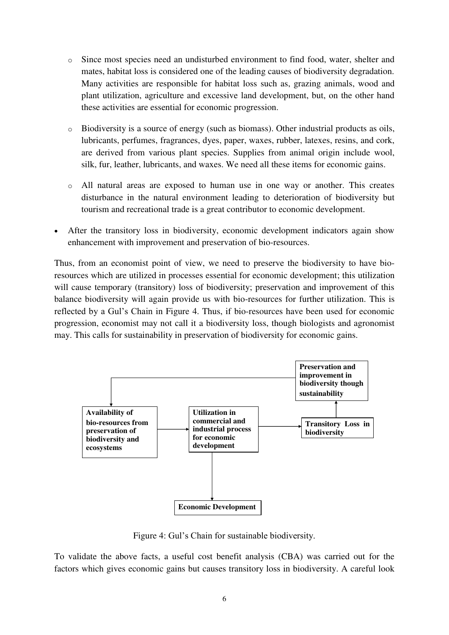- o Since most species need an undisturbed environment to find food, water, shelter and mates, habitat loss is considered one of the leading causes of biodiversity degradation. Many activities are responsible for habitat loss such as, grazing animals, wood and plant utilization, agriculture and excessive land development, but, on the other hand these activities are essential for economic progression.
- o Biodiversity is a source of [energy](http://en.wikipedia.org/wiki/Energy) (such as [biomass\)](http://en.wikipedia.org/wiki/Biomass). Other industrial products as [oils,](http://en.wikipedia.org/wiki/Vegetable_oil) [lubricants,](http://en.wikipedia.org/wiki/Lubricant) [perfumes,](http://en.wikipedia.org/wiki/Perfume) [fragrances,](http://en.wikipedia.org/wiki/Fragrance) [dyes,](http://en.wikipedia.org/wiki/Dye) [paper,](http://en.wikipedia.org/wiki/Paper) [waxes,](http://en.wikipedia.org/wiki/Wax) [rubber,](http://en.wikipedia.org/wiki/Rubber) [latexes,](http://en.wikipedia.org/wiki/Latex) [resins,](http://en.wikipedia.org/wiki/Resin) and [cork,](http://en.wikipedia.org/wiki/Cork_(material)) are derived from various plant species. Supplies from animal origin include [wool,](http://en.wikipedia.org/wiki/Wool) [silk,](http://en.wikipedia.org/wiki/Silk) [fur,](http://en.wikipedia.org/wiki/Fur) [leather,](http://en.wikipedia.org/wiki/Leather) [lubricants,](http://en.wikipedia.org/wiki/Lubricant) and waxes. We need all these items for economic gains.
- o All natural areas are exposed to human use in one way or another. This creates disturbance in the natural environment leading to deterioration of biodiversity but tourism and recreational trade is a great contributor to economic development.
- After the transitory loss in biodiversity, economic development indicators again show enhancement with improvement and preservation of bio-resources.

Thus, from an economist point of view, we need to preserve the biodiversity to have bioresources which are utilized in processes essential for economic development; this utilization will cause temporary (transitory) loss of biodiversity; preservation and improvement of this balance biodiversity will again provide us with bio-resources for further utilization. This is reflected by a Gul's Chain in Figure 4. Thus, if bio-resources have been used for economic progression, economist may not call it a biodiversity loss, though biologists and agronomist may. This calls for sustainability in preservation of biodiversity for economic gains.



Figure 4: Gul's Chain for sustainable biodiversity.

To validate the above facts, a useful cost benefit analysis (CBA) was carried out for the factors which gives economic gains but causes transitory loss in biodiversity. A careful look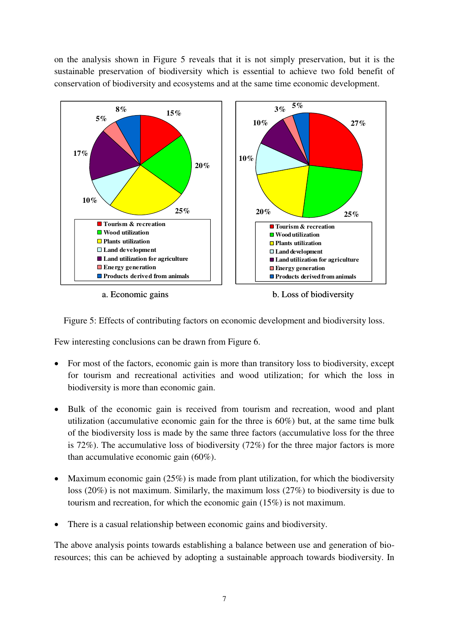on the analysis shown in Figure 5 reveals that it is not simply preservation, but it is the sustainable preservation of biodiversity which is essential to achieve two fold benefit of conservation of biodiversity and ecosystems and at the same time economic development.



a. Economic gains b. Loss of biodiversity

Figure 5: Effects of contributing factors on economic development and biodiversity loss.

Few interesting conclusions can be drawn from Figure 6.

- For most of the factors, economic gain is more than transitory loss to biodiversity, except for tourism and recreational activities and wood utilization; for which the loss in biodiversity is more than economic gain.
- Bulk of the economic gain is received from tourism and recreation, wood and plant utilization (accumulative economic gain for the three is 60%) but, at the same time bulk of the biodiversity loss is made by the same three factors (accumulative loss for the three is 72%). The accumulative loss of biodiversity (72%) for the three major factors is more than accumulative economic gain (60%).
- Maximum economic gain  $(25%)$  is made from plant utilization, for which the biodiversity loss (20%) is not maximum. Similarly, the maximum loss (27%) to biodiversity is due to tourism and recreation, for which the economic gain (15%) is not maximum.
- There is a casual relationship between economic gains and biodiversity.

The above analysis points towards establishing a balance between use and generation of bioresources; this can be achieved by adopting a sustainable approach towards biodiversity. In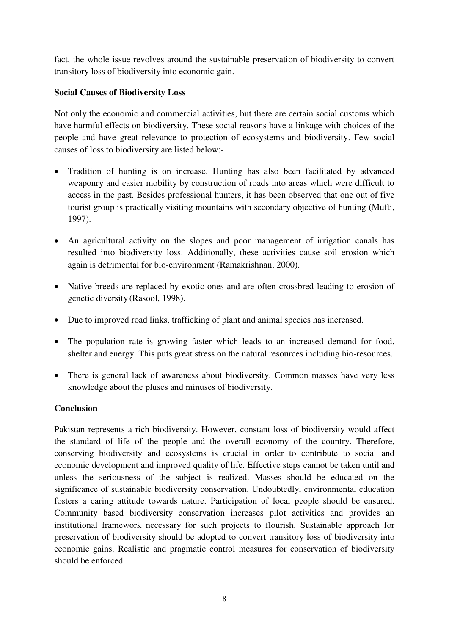fact, the whole issue revolves around the sustainable preservation of biodiversity to convert transitory loss of biodiversity into economic gain.

# **Social Causes of Biodiversity Loss**

Not only the economic and commercial activities, but there are certain social customs which have harmful effects on biodiversity. These social reasons have a linkage with choices of the people and have great relevance to protection of ecosystems and biodiversity. Few social causes of loss to biodiversity are listed below:-

- Tradition of hunting is on increase. Hunting has also been facilitated by advanced weaponry and easier mobility by construction of roads into areas which were difficult to access in the past. Besides professional hunters, it has been observed that one out of five tourist group is practically visiting mountains with secondary objective of hunting (Mufti, 1997).
- An agricultural activity on the slopes and poor management of irrigation canals has resulted into biodiversity loss. Additionally, these activities cause soil erosion which again is detrimental for bio-environment (Ramakrishnan, 2000).
- Native breeds are replaced by exotic ones and are often crossbred leading to erosion of genetic diversity (Rasool, 1998).
- Due to improved road links, trafficking of plant and animal species has increased.
- The population rate is growing faster which leads to an increased demand for food, shelter and energy. This puts great stress on the natural resources including bio-resources.
- There is general lack of awareness about biodiversity. Common masses have very less knowledge about the pluses and minuses of biodiversity.

# **Conclusion**

Pakistan represents a rich biodiversity. However, constant loss of biodiversity would affect the standard of life of the people and the overall economy of the country. Therefore, conserving biodiversity and ecosystems is crucial in order to contribute to social and economic development and improved quality of life. Effective steps cannot be taken until and unless the seriousness of the subject is realized. Masses should be educated on the significance of sustainable biodiversity conservation. Undoubtedly, environmental education fosters a caring attitude towards nature. Participation of local people should be ensured. Community based biodiversity conservation increases pilot activities and provides an institutional framework necessary for such projects to flourish. Sustainable approach for preservation of biodiversity should be adopted to convert transitory loss of biodiversity into economic gains. Realistic and pragmatic control measures for conservation of biodiversity should be enforced.